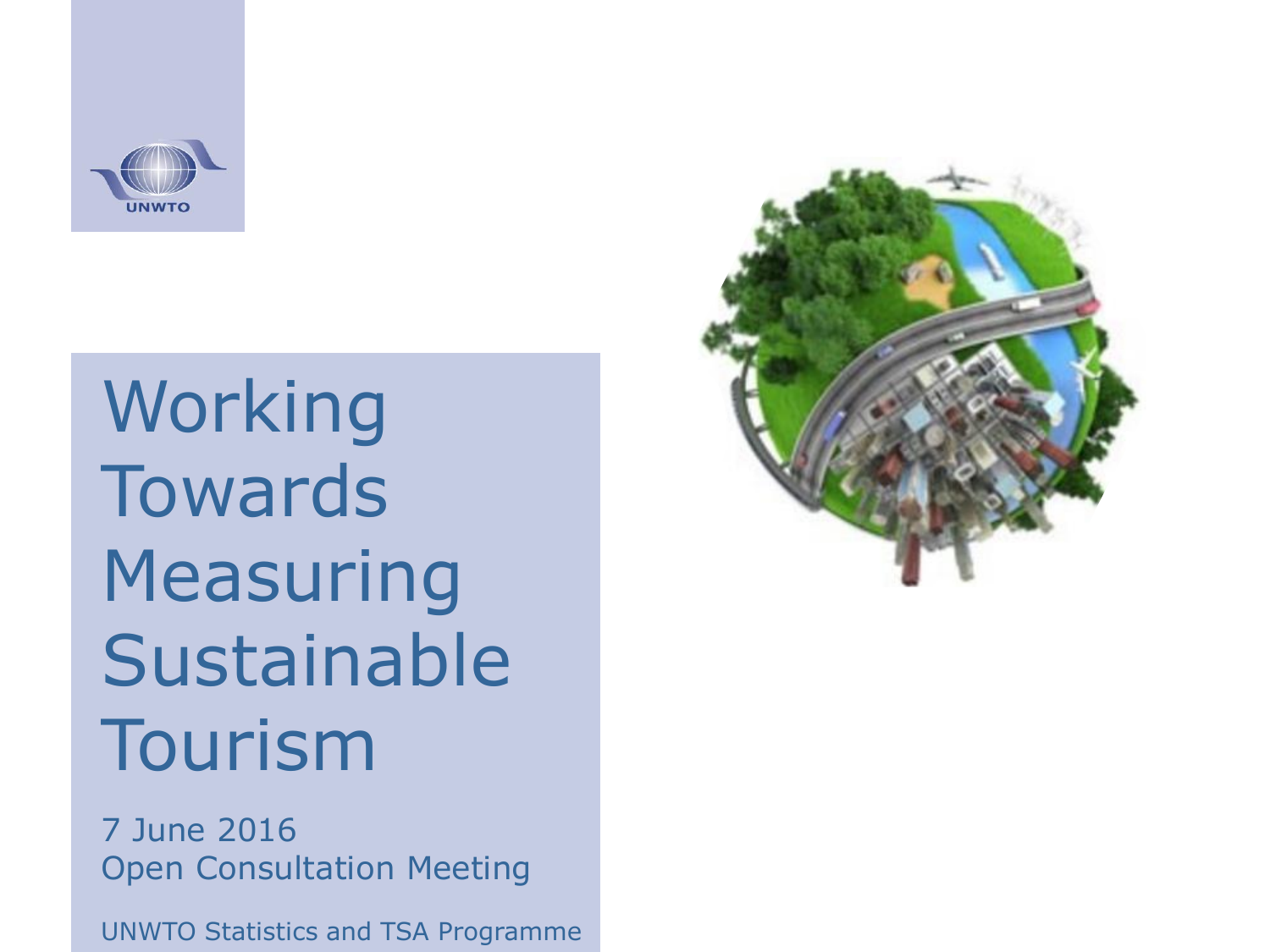

Working **Towards** Measuring Sustainable Tourism

7 June 2016 Open Consultation Meeting

UNWTO Statistics and TSA Programme

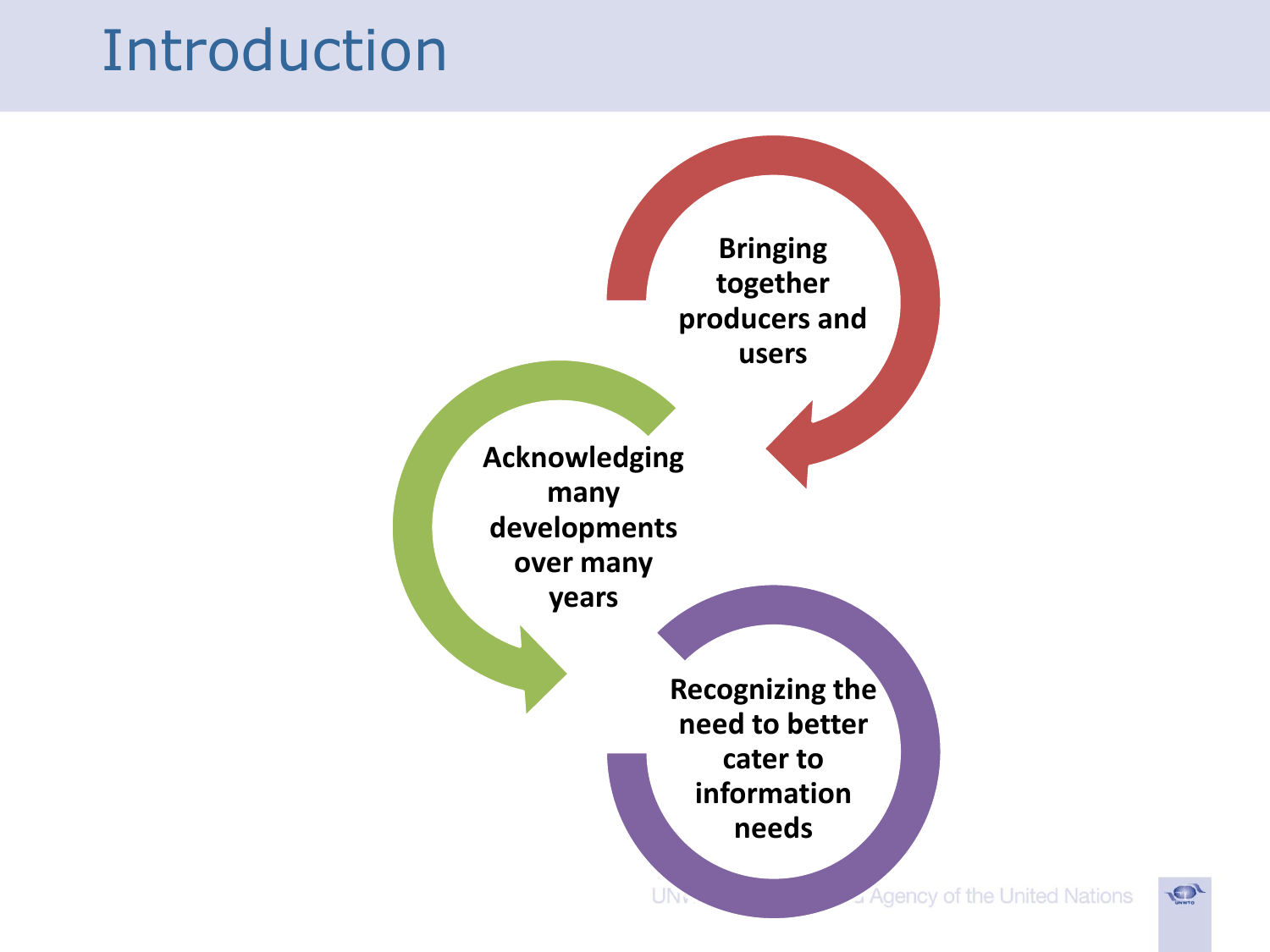### Introduction



**LON**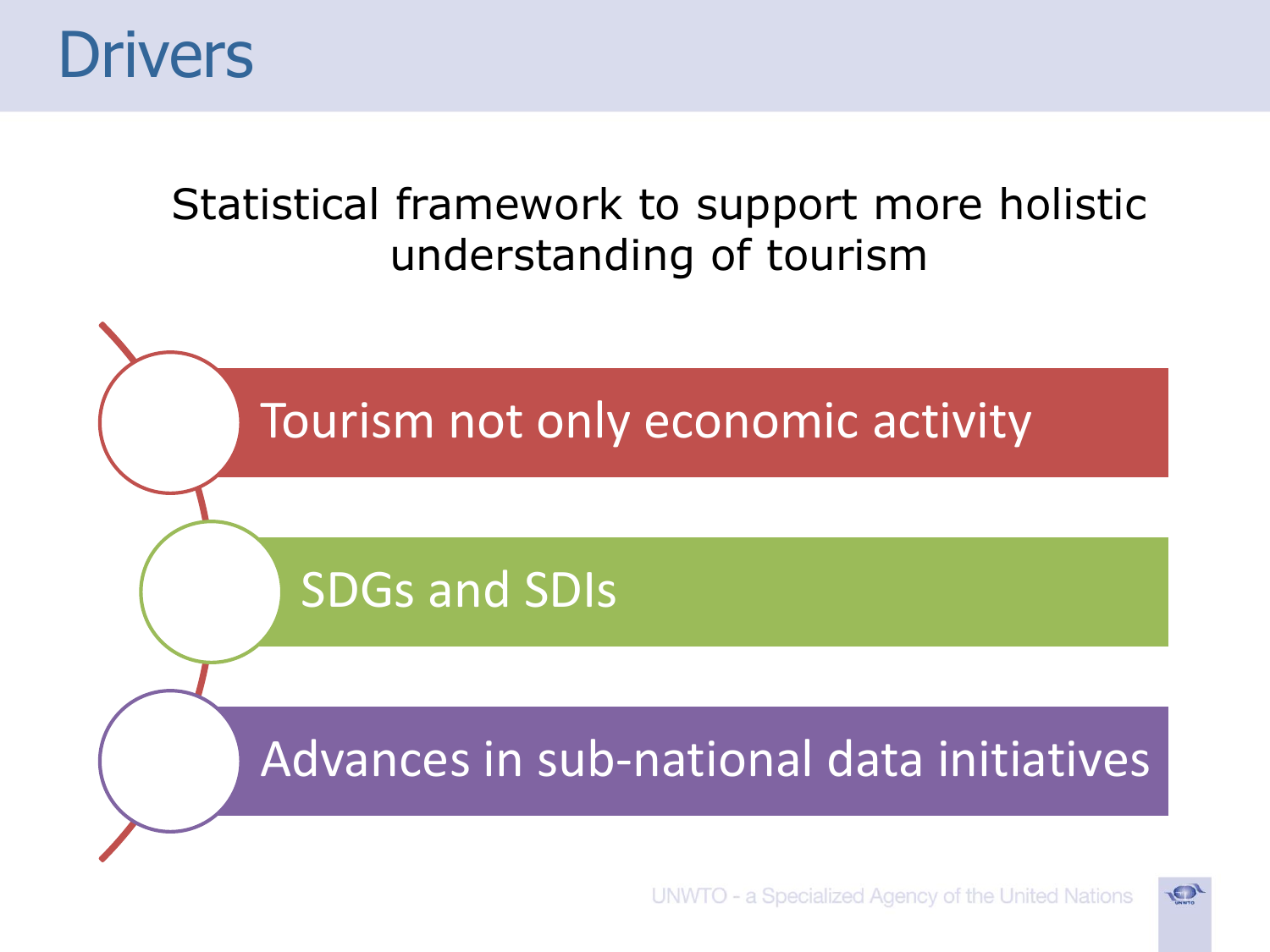

#### Statistical framework to support more holistic understanding of tourism



O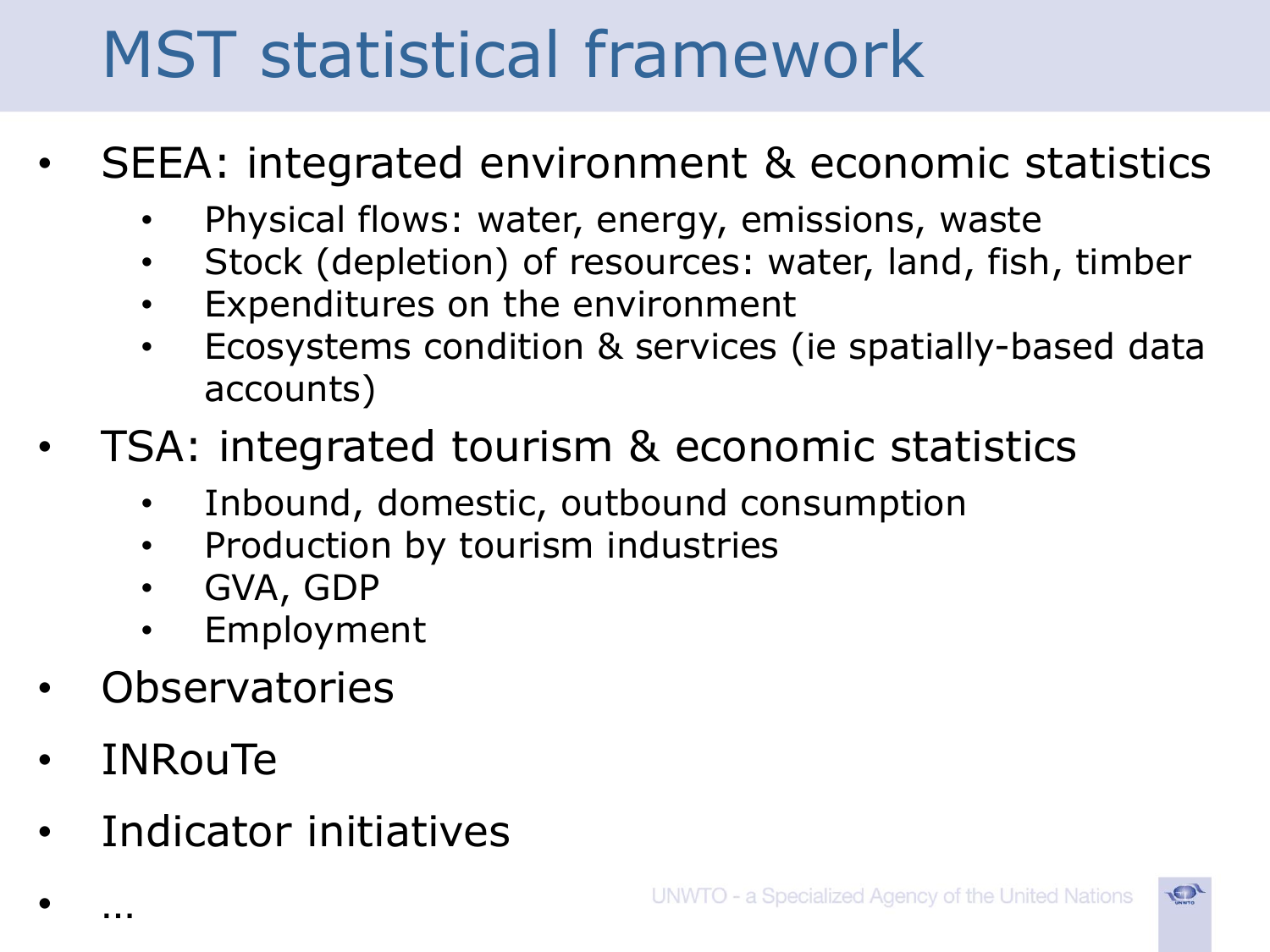# MST statistical framework

- SEEA: integrated environment & economic statistics
	- Physical flows: water, energy, emissions, waste
	- Stock (depletion) of resources: water, land, fish, timber
	- Expenditures on the environment
	- Ecosystems condition & services (ie spatially-based data accounts)
- TSA: integrated tourism & economic statistics
	- Inbound, domestic, outbound consumption
	- Production by tourism industries
	- GVA, GDP
	- **Employment**
- **Observatories**
- **INRouTe**

• …

• Indicator initiatives

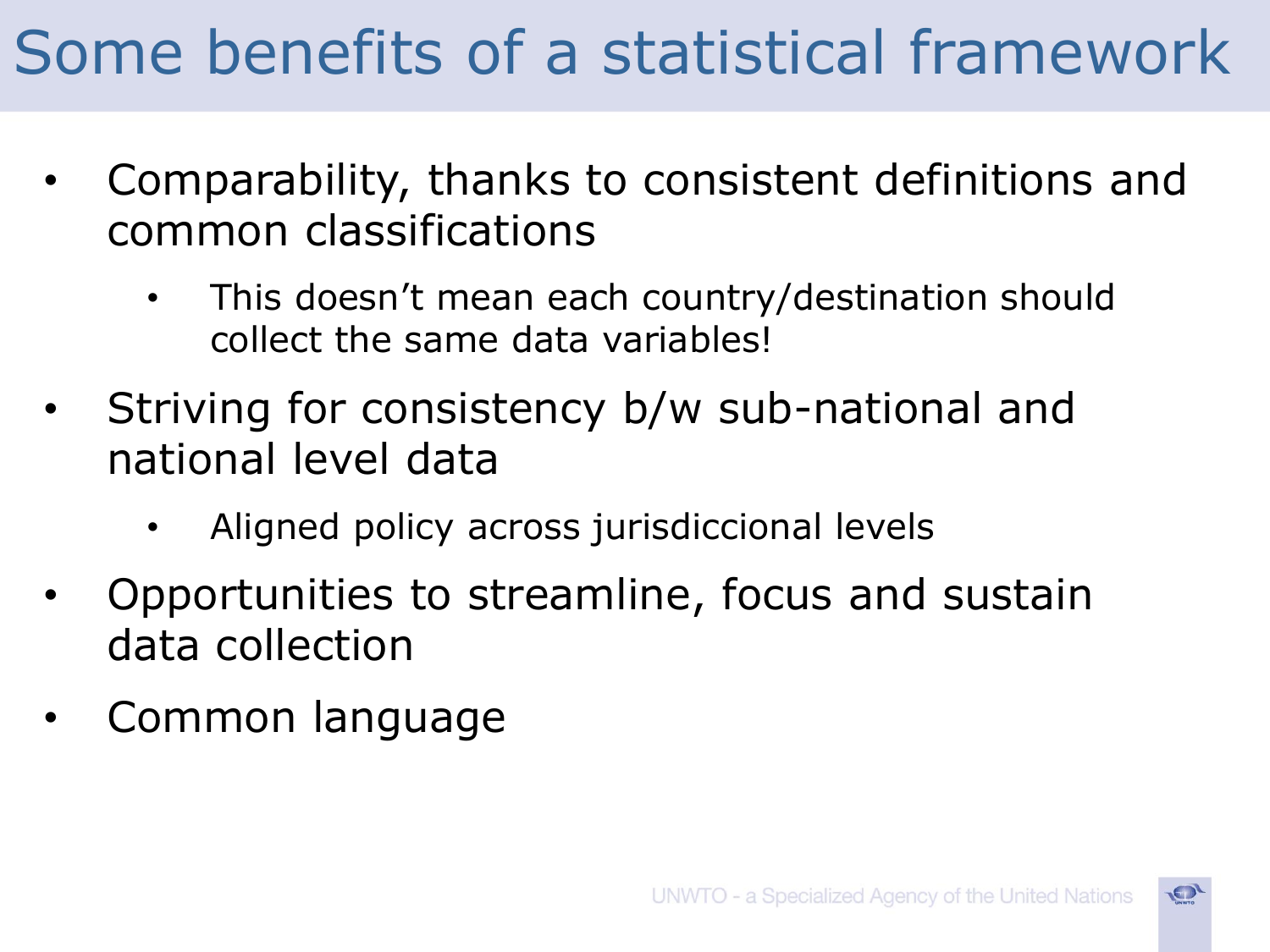## Some benefits of a statistical framework

- Comparability, thanks to consistent definitions and common classifications
	- This doesn't mean each country/destination should collect the same data variables!
- Striving for consistency b/w sub-national and national level data
	- Aligned policy across jurisdiccional levels
- Opportunities to streamline, focus and sustain data collection
- Common language

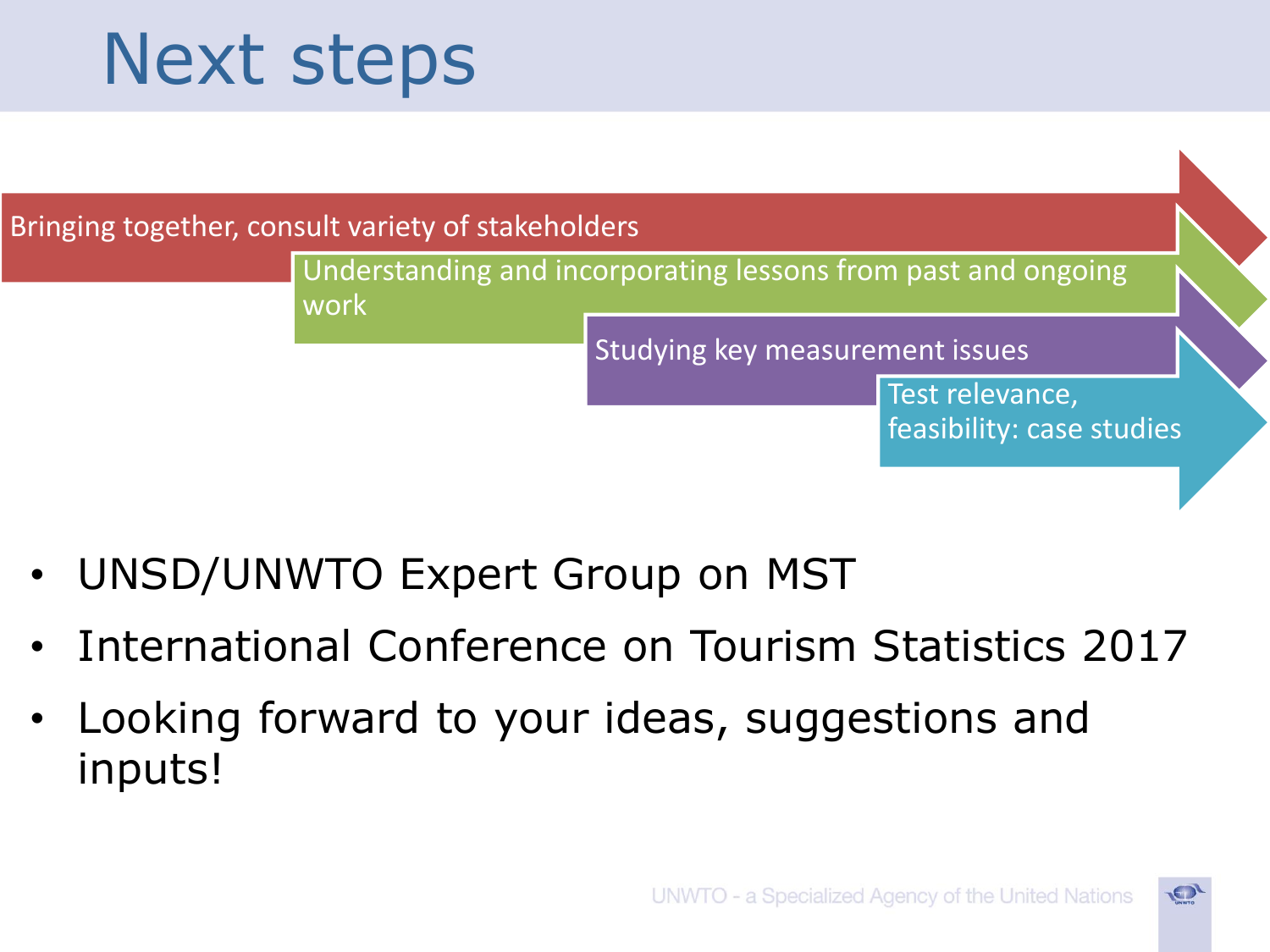# Next steps



- UNSD/UNWTO Expert Group on MST
- International Conference on Tourism Statistics 2017
- Looking forward to your ideas, suggestions and inputs!

 $\bullet$